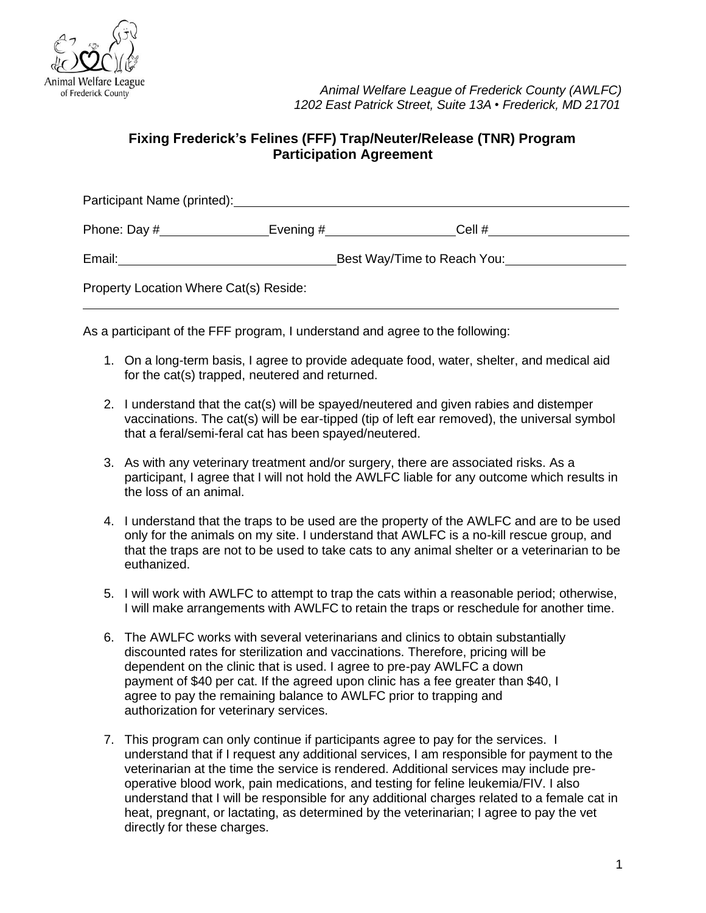

## **Fixing Frederick's Felines (FFF) Trap/Neuter/Release (TNR) Program Participation Agreement**

| Participant Name (printed):            |                             |                       |  |  |
|----------------------------------------|-----------------------------|-----------------------|--|--|
| Phone: Day #                           |                             | Evening $#$<br>Cell # |  |  |
| Email:                                 | Best Way/Time to Reach You: |                       |  |  |
| Property Location Where Cat(s) Reside: |                             |                       |  |  |

As a participant of the FFF program, I understand and agree to the following:

- 1. On a long-term basis, I agree to provide adequate food, water, shelter, and medical aid for the cat(s) trapped, neutered and returned.
- 2. I understand that the cat(s) will be spayed/neutered and given rabies and distemper vaccinations. The cat(s) will be ear-tipped (tip of left ear removed), the universal symbol that a feral/semi-feral cat has been spayed/neutered.
- 3. As with any veterinary treatment and/or surgery, there are associated risks. As a participant, I agree that I will not hold the AWLFC liable for any outcome which results in the loss of an animal.
- 4. I understand that the traps to be used are the property of the AWLFC and are to be used only for the animals on my site. I understand that AWLFC is a no-kill rescue group, and that the traps are not to be used to take cats to any animal shelter or a veterinarian to be euthanized.
- 5. I will work with AWLFC to attempt to trap the cats within a reasonable period; otherwise, I will make arrangements with AWLFC to retain the traps or reschedule for another time.
- 6. The AWLFC works with several veterinarians and clinics to obtain substantially discounted rates for sterilization and vaccinations. Therefore, pricing will be dependent on the clinic that is used. I agree to pre-pay AWLFC a down payment of \$40 per cat. If the agreed upon clinic has a fee greater than \$40, I agree to pay the remaining balance to AWLFC prior to trapping and authorization for veterinary services.
- 7. This program can only continue if participants agree to pay for the services. I understand that if I request any additional services, I am responsible for payment to the veterinarian at the time the service is rendered. Additional services may include preoperative blood work, pain medications, and testing for feline leukemia/FIV. I also understand that I will be responsible for any additional charges related to a female cat in heat, pregnant, or lactating, as determined by the veterinarian; I agree to pay the vet directly for these charges.